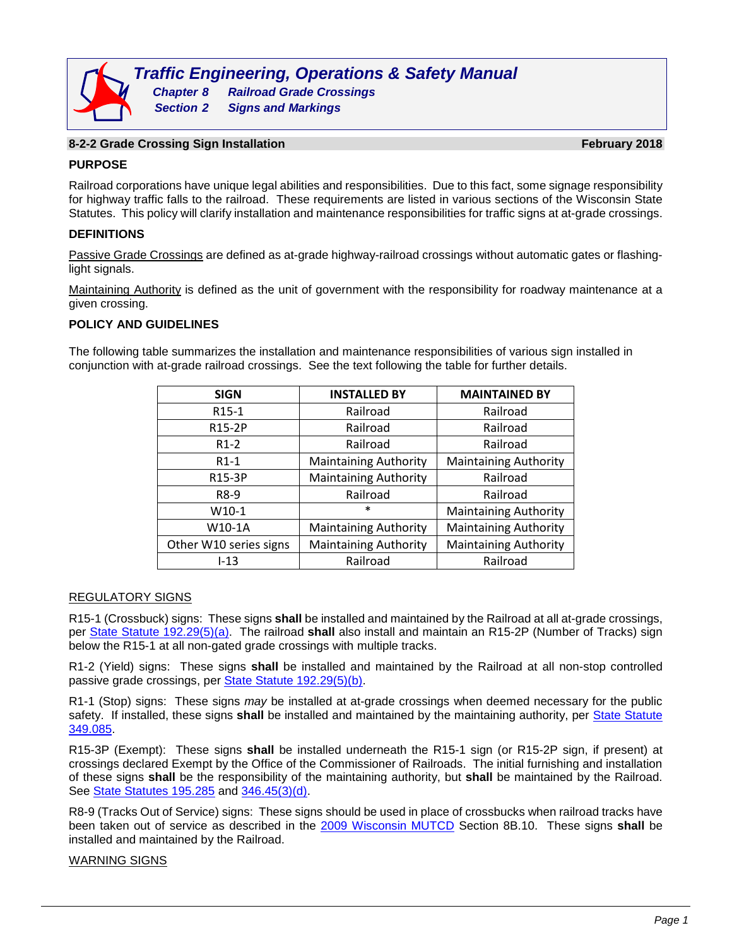# **8-2-2 Grade Crossing Sign Installation February 2018**

## **PURPOSE**

Railroad corporations have unique legal abilities and responsibilities. Due to this fact, some signage responsibility for highway traffic falls to the railroad. These requirements are listed in various sections of the Wisconsin State Statutes. This policy will clarify installation and maintenance responsibilities for traffic signs at at-grade crossings.

## **DEFINITIONS**

Passive Grade Crossings are defined as at-grade highway-railroad crossings without automatic gates or flashinglight signals.

Maintaining Authority is defined as the unit of government with the responsibility for roadway maintenance at a given crossing.

## **POLICY AND GUIDELINES**

The following table summarizes the installation and maintenance responsibilities of various sign installed in conjunction with at-grade railroad crossings. See the text following the table for further details.

| <b>SIGN</b>            | <b>INSTALLED BY</b>          | <b>MAINTAINED BY</b>         |
|------------------------|------------------------------|------------------------------|
| R <sub>15</sub> -1     | Railroad                     | Railroad                     |
| R15-2P                 | Railroad                     | Railroad                     |
| $R1-2$                 | Railroad                     | Railroad                     |
| $R1-1$                 | <b>Maintaining Authority</b> | <b>Maintaining Authority</b> |
| R15-3P                 | <b>Maintaining Authority</b> | Railroad                     |
| R8-9                   | Railroad                     | Railroad                     |
| $W10-1$                | $\ast$                       | <b>Maintaining Authority</b> |
| W10-1A                 | <b>Maintaining Authority</b> | <b>Maintaining Authority</b> |
| Other W10 series signs | <b>Maintaining Authority</b> | <b>Maintaining Authority</b> |
| $1 - 13$               | Railroad                     | Railroad                     |

## REGULATORY SIGNS

R15-1 (Crossbuck) signs: These signs **shall** be installed and maintained by the Railroad at all at-grade crossings, per [State Statute 192.29\(5\)\(a\).](http://docs.legis.wisconsin.gov/statutes/statutes/192/29/5/a) The railroad **shall** also install and maintain an R15-2P (Number of Tracks) sign below the R15-1 at all non-gated grade crossings with multiple tracks.

R1-2 (Yield) signs: These signs **shall** be installed and maintained by the Railroad at all non-stop controlled passive grade crossings, per [State Statute 192.29\(5\)\(b\).](http://docs.legis.wisconsin.gov/statutes/statutes/192/29/5/b)

R1-1 (Stop) signs: These signs *may* be installed at at-grade crossings when deemed necessary for the public safety. If installed, these signs **shall** be installed and maintained by the maintaining authority, per [State Statute](http://docs.legis.wisconsin.gov/statutes/statutes/349/II/085)  [349.085.](http://docs.legis.wisconsin.gov/statutes/statutes/349/II/085)

R15-3P (Exempt): These signs **shall** be installed underneath the R15-1 sign (or R15-2P sign, if present) at crossings declared Exempt by the Office of the Commissioner of Railroads. The initial furnishing and installation of these signs **shall** be the responsibility of the maintaining authority, but **shall** be maintained by the Railroad. See [State Statutes 195.285](http://docs.legis.wisconsin.gov/statutes/statutes/195/285) and [346.45\(3\)\(d\).](http://docs.legis.wisconsin.gov/statutes/statutes/346/VII/45/3/d)

R8-9 (Tracks Out of Service) signs: These signs should be used in place of crossbucks when railroad tracks have been taken out of service as described in the [2009 Wisconsin MUTCD](http://wisconsindot.gov/Pages/doing-bus/local-gov/traffic-ops/manuals-and-standards/wmutcd/wmutcd.aspx) Section 8B.10. These signs **shall** be installed and maintained by the Railroad.

## WARNING SIGNS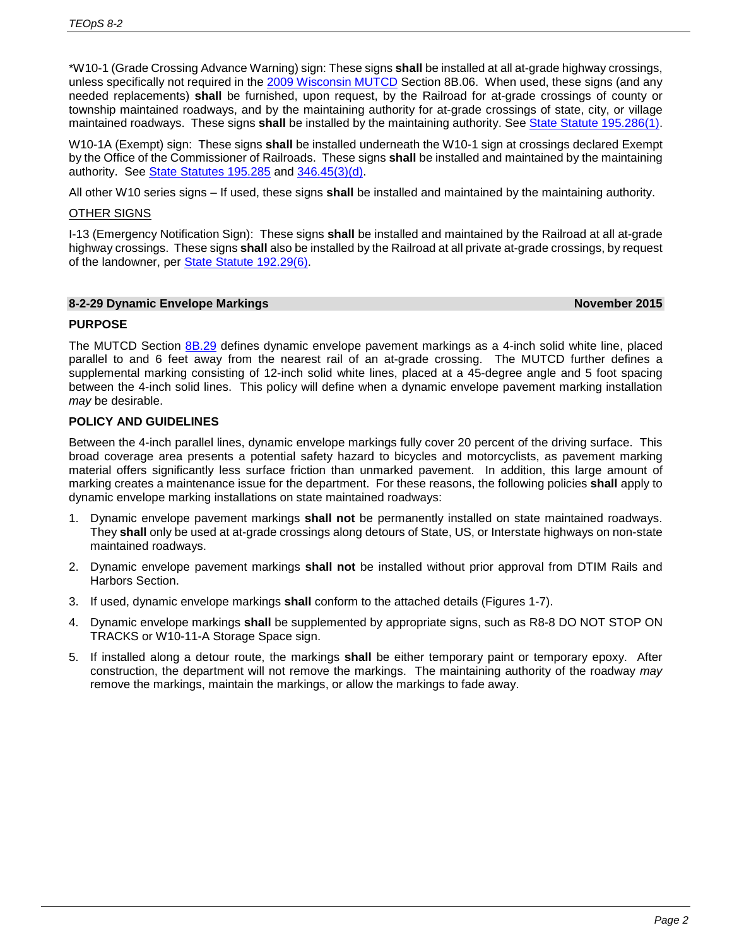\*W10-1 (Grade Crossing Advance Warning) sign: These signs **shall** be installed at all at-grade highway crossings, unless specifically not required in the [2009 Wisconsin MUTCD](http://wisconsindot.gov/Pages/doing-bus/local-gov/traffic-ops/manuals-and-standards/wmutcd/wmutcd.aspx) Section 8B.06. When used, these signs (and any needed replacements) **shall** be furnished, upon request, by the Railroad for at-grade crossings of county or township maintained roadways, and by the maintaining authority for at-grade crossings of state, city, or village maintained roadways. These signs **shall** be installed by the maintaining authority. See [State Statute 195.286\(1\).](http://docs.legis.wisconsin.gov/statutes/statutes/195/286/1)

W10-1A (Exempt) sign: These signs **shall** be installed underneath the W10-1 sign at crossings declared Exempt by the Office of the Commissioner of Railroads. These signs **shall** be installed and maintained by the maintaining authority. See [State Statutes 195.285](http://docs.legis.wisconsin.gov/statutes/statutes/195/285) and [346.45\(3\)\(d\).](http://docs.legis.wisconsin.gov/statutes/statutes/346/VII/45/3/d)

All other W10 series signs – If used, these signs **shall** be installed and maintained by the maintaining authority.

## OTHER SIGNS

I-13 (Emergency Notification Sign): These signs **shall** be installed and maintained by the Railroad at all at-grade highway crossings. These signs **shall** also be installed by the Railroad at all private at-grade crossings, by request of the landowner, per [State Statute 192.29\(6\).](http://docs.legis.wisconsin.gov/statutes/statutes/192/29/6)

### **8-2-29 Dynamic Envelope Markings November 2015**

# **PURPOSE**

The MUTCD Section [8B.29](http://wisconsindot.gov/dtsdManuals/traffic-ops/manuals-and-standards/mutcd-ch08.pdf) defines dynamic envelope pavement markings as a 4-inch solid white line, placed parallel to and 6 feet away from the nearest rail of an at-grade crossing. The MUTCD further defines a supplemental marking consisting of 12-inch solid white lines, placed at a 45-degree angle and 5 foot spacing between the 4-inch solid lines. This policy will define when a dynamic envelope pavement marking installation *may* be desirable.

# **POLICY AND GUIDELINES**

Between the 4-inch parallel lines, dynamic envelope markings fully cover 20 percent of the driving surface. This broad coverage area presents a potential safety hazard to bicycles and motorcyclists, as pavement marking material offers significantly less surface friction than unmarked pavement. In addition, this large amount of marking creates a maintenance issue for the department. For these reasons, the following policies **shall** apply to dynamic envelope marking installations on state maintained roadways:

- 1. Dynamic envelope pavement markings **shall not** be permanently installed on state maintained roadways. They **shall** only be used at at-grade crossings along detours of State, US, or Interstate highways on non-state maintained roadways.
- 2. Dynamic envelope pavement markings **shall not** be installed without prior approval from DTIM Rails and Harbors Section.
- 3. If used, dynamic envelope markings **shall** conform to the attached details (Figures 1-7).
- 4. Dynamic envelope markings **shall** be supplemented by appropriate signs, such as R8-8 DO NOT STOP ON TRACKS or W10-11-A Storage Space sign.
- 5. If installed along a detour route, the markings **shall** be either temporary paint or temporary epoxy. After construction, the department will not remove the markings. The maintaining authority of the roadway *may* remove the markings, maintain the markings, or allow the markings to fade away.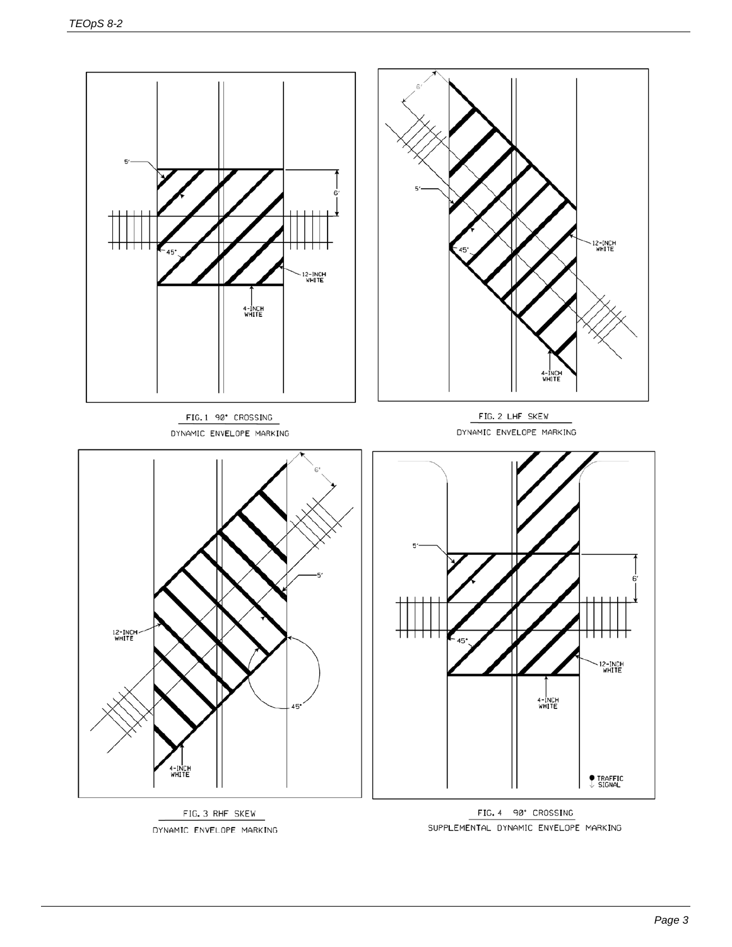

FIG. 3 RHF SKEW DYNAMIC ENVELOPE MARKING

FIG. 4 90° CROSSING SUPPLEMENTAL DYNAMIC ENVELOPE MARKING